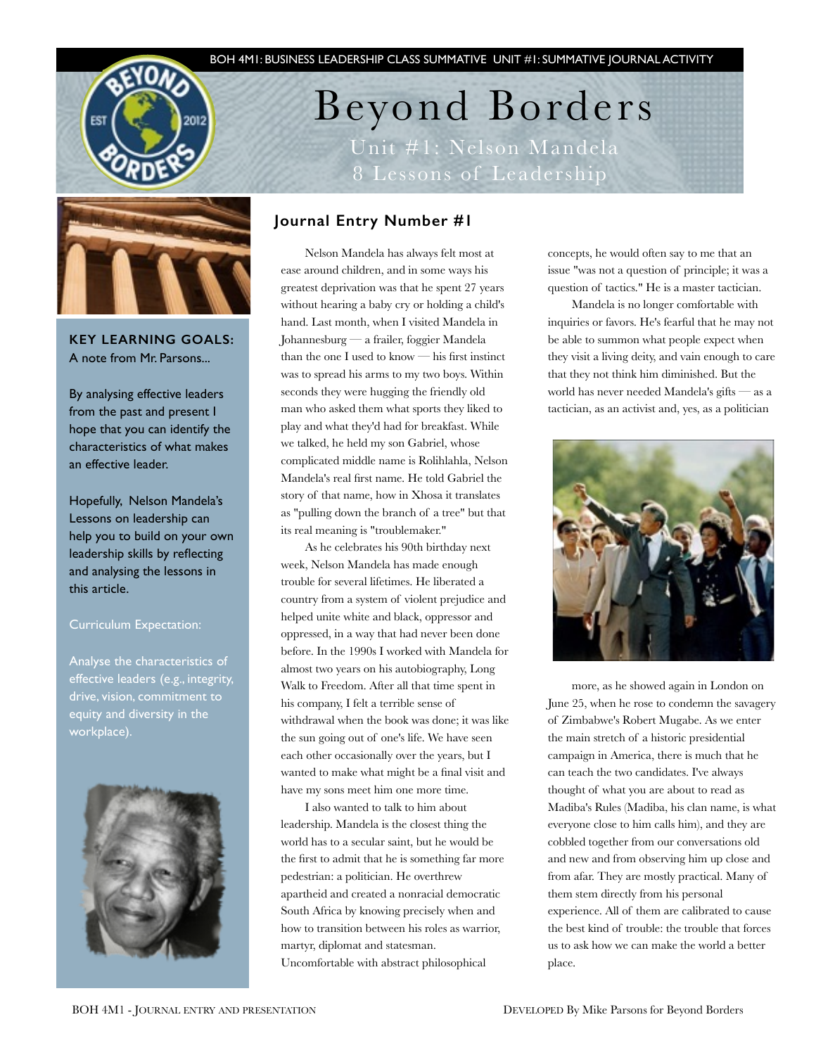



**KEY LEARNING GOALS:**  A note from Mr. Parsons...

By analysing effective leaders from the past and present I hope that you can identify the characteristics of what makes an effective leader.

Hopefully, Nelson Mandela's Lessons on leadership can help you to build on your own leadership skills by reflecting and analysing the lessons in this article.

# Curriculum Expectation:

Analyse the characteristics of effective leaders (e.g., integrity, drive, vision, commitment to equity and diversity in the workplace).



Beyond Borders Unit #1: Nelson Mandela 8 Lessons of Leadership

# **Journal Entry Number #1**

Nelson Mandela has always felt most at ease around children, and in some ways his greatest deprivation was that he spent 27 years without hearing a baby cry or holding a child's hand. Last month, when I visited Mandela in Johannesburg — a frailer, foggier Mandela than the one I used to know — his first instinct was to spread his arms to my two boys. Within seconds they were hugging the friendly old man who asked them what sports they liked to play and what they'd had for breakfast. While we talked, he held my son Gabriel, whose complicated middle name is Rolihlahla, Nelson Mandela's real first name. He told Gabriel the story of that name, how in Xhosa it translates as "pulling down the branch of a tree" but that its real meaning is "troublemaker."

As he celebrates his 90th birthday next week, Nelson Mandela has made enough trouble for several lifetimes. He liberated a country from a system of violent prejudice and helped unite white and black, oppressor and oppressed, in a way that had never been done before. In the 1990s I worked with Mandela for almost two years on his autobiography, Long Walk to Freedom. After all that time spent in his company, I felt a terrible sense of withdrawal when the book was done; it was like the sun going out of one's life. We have seen each other occasionally over the years, but I wanted to make what might be a final visit and have my sons meet him one more time.

I also wanted to talk to him about leadership. Mandela is the closest thing the world has to a secular saint, but he would be the first to admit that he is something far more pedestrian: a politician. He overthrew apartheid and created a nonracial democratic South Africa by knowing precisely when and how to transition between his roles as warrior, martyr, diplomat and statesman. Uncomfortable with abstract philosophical

concepts, he would often say to me that an issue "was not a question of principle; it was a question of tactics." He is a master tactician.

Mandela is no longer comfortable with inquiries or favors. He's fearful that he may not be able to summon what people expect when they visit a living deity, and vain enough to care that they not think him diminished. But the world has never needed Mandela's gifts — as a tactician, as an activist and, yes, as a politician



more, as he showed again in London on June 25, when he rose to condemn the savagery of Zimbabwe's Robert Mugabe. As we enter the main stretch of a historic presidential campaign in America, there is much that he can teach the two candidates. I've always thought of what you are about to read as Madiba's Rules (Madiba, his clan name, is what everyone close to him calls him), and they are cobbled together from our conversations old and new and from observing him up close and from afar. They are mostly practical. Many of them stem directly from his personal experience. All of them are calibrated to cause the best kind of trouble: the trouble that forces us to ask how we can make the world a better place.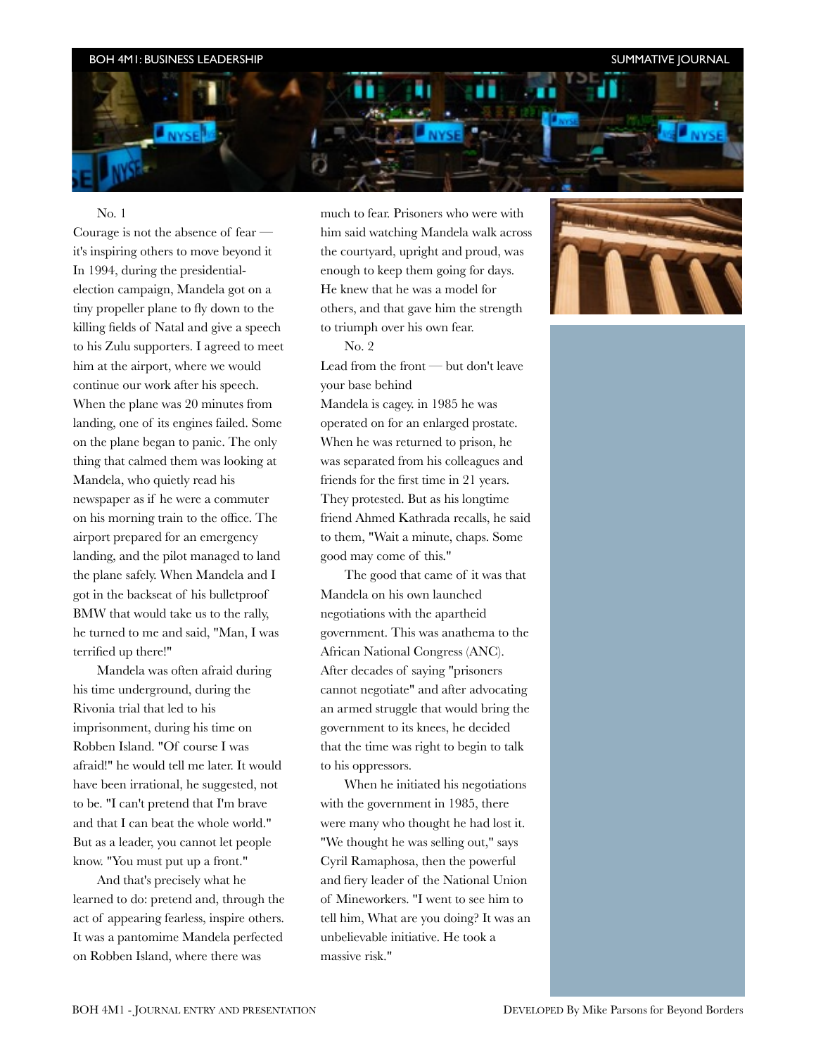**NYS** 

### ING NEWSLETTER ISSUE NEWSLETTER ISSUE NEWSLETTER IS A GENERAL 2009 BOH 4M1: BUSINESS LEADERSHIP SUMMATIVE JOURNAL

#### No. 1

Courage is not the absence of fear it's inspiring others to move beyond it In 1994, during the presidentialelection campaign, Mandela got on a tiny propeller plane to fly down to the killing fields of Natal and give a speech to his Zulu supporters. I agreed to meet him at the airport, where we would continue our work after his speech. When the plane was 20 minutes from landing, one of its engines failed. Some on the plane began to panic. The only thing that calmed them was looking at Mandela, who quietly read his newspaper as if he were a commuter on his morning train to the office. The airport prepared for an emergency landing, and the pilot managed to land the plane safely. When Mandela and I got in the backseat of his bulletproof BMW that would take us to the rally, he turned to me and said, "Man, I was terrified up there!"

Mandela was often afraid during his time underground, during the Rivonia trial that led to his imprisonment, during his time on Robben Island. "Of course I was afraid!" he would tell me later. It would have been irrational, he suggested, not to be. "I can't pretend that I'm brave and that I can beat the whole world." But as a leader, you cannot let people know. "You must put up a front."

And that's precisely what he learned to do: pretend and, through the act of appearing fearless, inspire others. It was a pantomime Mandela perfected on Robben Island, where there was

much to fear. Prisoners who were with him said watching Mandela walk across the courtyard, upright and proud, was enough to keep them going for days. He knew that he was a model for others, and that gave him the strength to triumph over his own fear.

No. 2

Lead from the front — but don't leave your base behind

Mandela is cagey. in 1985 he was operated on for an enlarged prostate. When he was returned to prison, he was separated from his colleagues and friends for the first time in 21 years. They protested. But as his longtime friend Ahmed Kathrada recalls, he said to them, "Wait a minute, chaps. Some good may come of this."

The good that came of it was that Mandela on his own launched negotiations with the apartheid government. This was anathema to the African National Congress (ANC). After decades of saying "prisoners cannot negotiate" and after advocating an armed struggle that would bring the government to its knees, he decided that the time was right to begin to talk to his oppressors.

When he initiated his negotiations with the government in 1985, there were many who thought he had lost it. "We thought he was selling out," says Cyril Ramaphosa, then the powerful and fiery leader of the National Union of Mineworkers. "I went to see him to tell him, What are you doing? It was an unbelievable initiative. He took a massive risk."

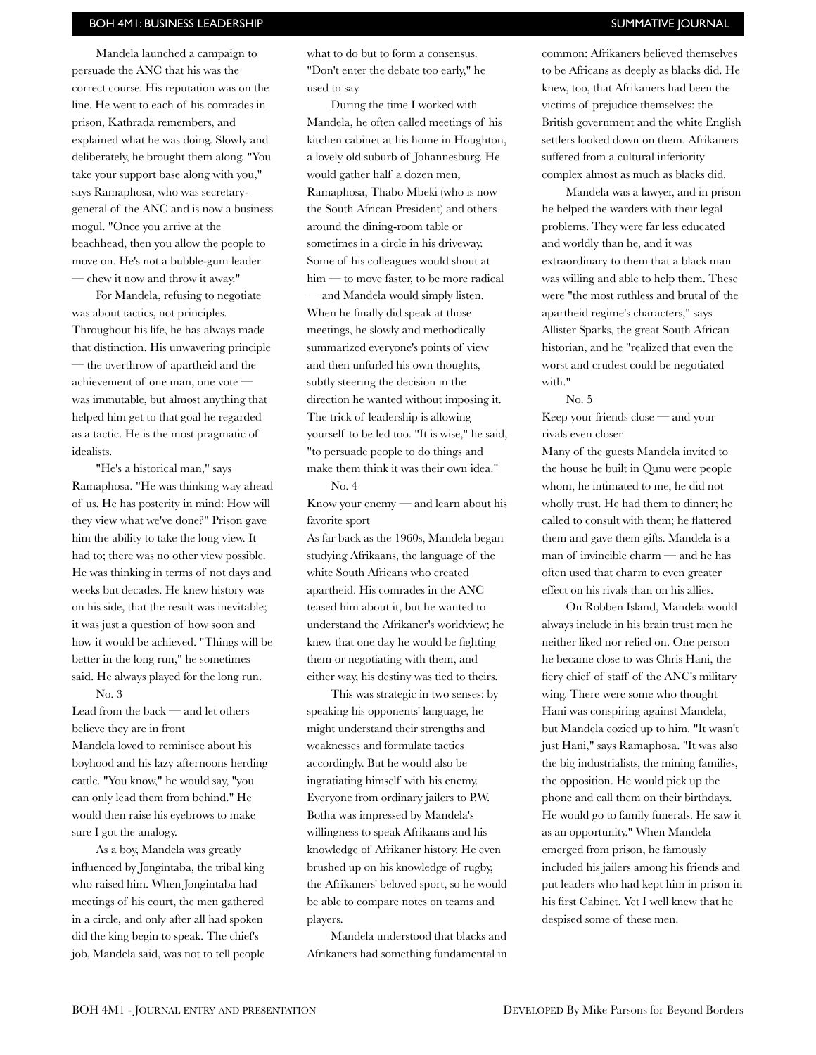### BOH 4M1: BUSINESS LEADERSHIP SUMMATIVE IOURNAL

Mandela launched a campaign to persuade the ANC that his was the correct course. His reputation was on the line. He went to each of his comrades in prison, Kathrada remembers, and explained what he was doing. Slowly and deliberately, he brought them along. "You take your support base along with you," says Ramaphosa, who was secretarygeneral of the ANC and is now a business mogul. "Once you arrive at the beachhead, then you allow the people to move on. He's not a bubble-gum leader — chew it now and throw it away."

For Mandela, refusing to negotiate was about tactics, not principles. Throughout his life, he has always made that distinction. His unwavering principle — the overthrow of apartheid and the achievement of one man, one vote was immutable, but almost anything that helped him get to that goal he regarded as a tactic. He is the most pragmatic of idealists.

"He's a historical man," says Ramaphosa. "He was thinking way ahead of us. He has posterity in mind: How will they view what we've done?" Prison gave him the ability to take the long view. It had to; there was no other view possible. He was thinking in terms of not days and weeks but decades. He knew history was on his side, that the result was inevitable; it was just a question of how soon and how it would be achieved. "Things will be better in the long run," he sometimes said. He always played for the long run.

No. 3

Lead from the back — and let others believe they are in front Mandela loved to reminisce about his boyhood and his lazy afternoons herding cattle. "You know," he would say, "you can only lead them from behind." He would then raise his eyebrows to make sure I got the analogy.

As a boy, Mandela was greatly influenced by Jongintaba, the tribal king who raised him. When Jongintaba had meetings of his court, the men gathered in a circle, and only after all had spoken did the king begin to speak. The chief's job, Mandela said, was not to tell people

what to do but to form a consensus. "Don't enter the debate too early," he used to say.

During the time I worked with Mandela, he often called meetings of his kitchen cabinet at his home in Houghton, a lovely old suburb of Johannesburg. He would gather half a dozen men, Ramaphosa, Thabo Mbeki (who is now the South African President) and others around the dining-room table or sometimes in a circle in his driveway. Some of his colleagues would shout at him — to move faster, to be more radical — and Mandela would simply listen. When he finally did speak at those meetings, he slowly and methodically summarized everyone's points of view and then unfurled his own thoughts, subtly steering the decision in the direction he wanted without imposing it. The trick of leadership is allowing yourself to be led too. "It is wise," he said, "to persuade people to do things and make them think it was their own idea." No. 4

Know your enemy — and learn about his favorite sport

As far back as the 1960s, Mandela began studying Afrikaans, the language of the white South Africans who created apartheid. His comrades in the ANC teased him about it, but he wanted to understand the Afrikaner's worldview; he knew that one day he would be fighting them or negotiating with them, and either way, his destiny was tied to theirs.

This was strategic in two senses: by speaking his opponents' language, he might understand their strengths and weaknesses and formulate tactics accordingly. But he would also be ingratiating himself with his enemy. Everyone from ordinary jailers to P.W. Botha was impressed by Mandela's willingness to speak Afrikaans and his knowledge of Afrikaner history. He even brushed up on his knowledge of rugby, the Afrikaners' beloved sport, so he would be able to compare notes on teams and players.

Mandela understood that blacks and Afrikaners had something fundamental in common: Afrikaners believed themselves to be Africans as deeply as blacks did. He

knew, too, that Afrikaners had been the victims of prejudice themselves: the British government and the white English settlers looked down on them. Afrikaners suffered from a cultural inferiority complex almost as much as blacks did.

Mandela was a lawyer, and in prison he helped the warders with their legal problems. They were far less educated and worldly than he, and it was extraordinary to them that a black man was willing and able to help them. These were "the most ruthless and brutal of the apartheid regime's characters," says Allister Sparks, the great South African historian, and he "realized that even the worst and crudest could be negotiated with."

No. 5 Keep your friends close — and your rivals even closer

Many of the guests Mandela invited to the house he built in Qunu were people whom, he intimated to me, he did not wholly trust. He had them to dinner; he called to consult with them; he flattered them and gave them gifts. Mandela is a man of invincible charm — and he has often used that charm to even greater effect on his rivals than on his allies.

On Robben Island, Mandela would always include in his brain trust men he neither liked nor relied on. One person he became close to was Chris Hani, the fiery chief of staff of the ANC's military wing. There were some who thought Hani was conspiring against Mandela, but Mandela cozied up to him. "It wasn't just Hani," says Ramaphosa. "It was also the big industrialists, the mining families, the opposition. He would pick up the phone and call them on their birthdays. He would go to family funerals. He saw it as an opportunity." When Mandela emerged from prison, he famously included his jailers among his friends and put leaders who had kept him in prison in his first Cabinet. Yet I well knew that he despised some of these men.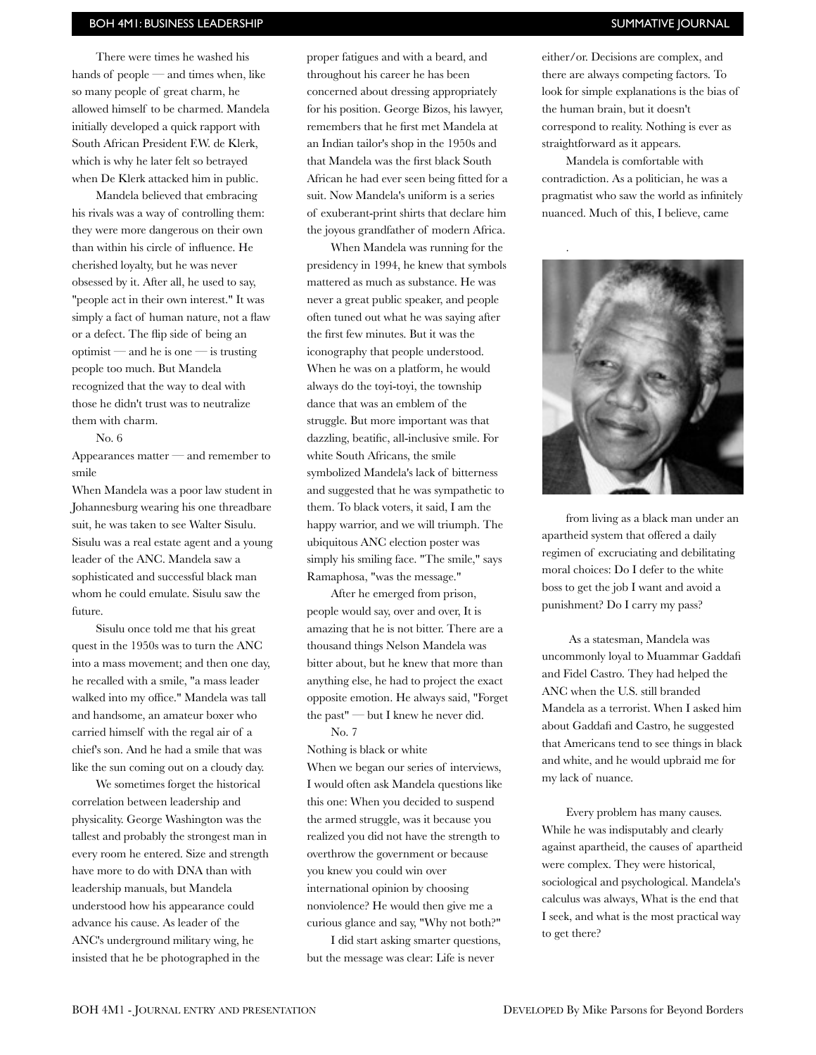### BOH 4M1: BUSINESS LEADERSHIP SUMMATIVE IOURNAL

There were times he washed his hands of people — and times when, like so many people of great charm, he allowed himself to be charmed. Mandela initially developed a quick rapport with South African President F.W. de Klerk, which is why he later felt so betrayed when De Klerk attacked him in public.

Mandela believed that embracing his rivals was a way of controlling them: they were more dangerous on their own than within his circle of influence. He cherished loyalty, but he was never obsessed by it. After all, he used to say, "people act in their own interest." It was simply a fact of human nature, not a flaw or a defect. The flip side of being an optimist — and he is one — is trusting people too much. But Mandela recognized that the way to deal with those he didn't trust was to neutralize them with charm.

No. 6

Appearances matter — and remember to smile

When Mandela was a poor law student in Johannesburg wearing his one threadbare suit, he was taken to see Walter Sisulu. Sisulu was a real estate agent and a young leader of the ANC. Mandela saw a sophisticated and successful black man whom he could emulate. Sisulu saw the future.

Sisulu once told me that his great quest in the 1950s was to turn the ANC into a mass movement; and then one day, he recalled with a smile, "a mass leader walked into my office." Mandela was tall and handsome, an amateur boxer who carried himself with the regal air of a chief's son. And he had a smile that was like the sun coming out on a cloudy day.

We sometimes forget the historical correlation between leadership and physicality. George Washington was the tallest and probably the strongest man in every room he entered. Size and strength have more to do with DNA than with leadership manuals, but Mandela understood how his appearance could advance his cause. As leader of the ANC's underground military wing, he insisted that he be photographed in the

proper fatigues and with a beard, and throughout his career he has been concerned about dressing appropriately for his position. George Bizos, his lawyer, remembers that he first met Mandela at an Indian tailor's shop in the 1950s and that Mandela was the first black South African he had ever seen being fitted for a suit. Now Mandela's uniform is a series of exuberant-print shirts that declare him the joyous grandfather of modern Africa.

When Mandela was running for the presidency in 1994, he knew that symbols mattered as much as substance. He was never a great public speaker, and people often tuned out what he was saying after the first few minutes. But it was the iconography that people understood. When he was on a platform, he would always do the toyi-toyi, the township dance that was an emblem of the struggle. But more important was that dazzling, beatific, all-inclusive smile. For white South Africans, the smile symbolized Mandela's lack of bitterness and suggested that he was sympathetic to them. To black voters, it said, I am the happy warrior, and we will triumph. The ubiquitous ANC election poster was simply his smiling face. "The smile," says Ramaphosa, "was the message."

After he emerged from prison, people would say, over and over, It is amazing that he is not bitter. There are a thousand things Nelson Mandela was bitter about, but he knew that more than anything else, he had to project the exact opposite emotion. He always said, "Forget the past" — but I knew he never did. No. 7

Nothing is black or white When we began our series of interviews, I would often ask Mandela questions like this one: When you decided to suspend the armed struggle, was it because you realized you did not have the strength to overthrow the government or because you knew you could win over international opinion by choosing nonviolence? He would then give me a curious glance and say, "Why not both?"

I did start asking smarter questions, but the message was clear: Life is never

either/or. Decisions are complex, and there are always competing factors. To look for simple explanations is the bias of the human brain, but it doesn't correspond to reality. Nothing is ever as straightforward as it appears.

Mandela is comfortable with contradiction. As a politician, he was a pragmatist who saw the world as infinitely nuanced. Much of this, I believe, came



from living as a black man under an apartheid system that offered a daily regimen of excruciating and debilitating moral choices: Do I defer to the white boss to get the job I want and avoid a punishment? Do I carry my pass?

 As a statesman, Mandela was uncommonly loyal to Muammar Gaddafi and Fidel Castro. They had helped the ANC when the U.S. still branded Mandela as a terrorist. When I asked him about Gaddafi and Castro, he suggested that Americans tend to see things in black and white, and he would upbraid me for my lack of nuance.

Every problem has many causes. While he was indisputably and clearly against apartheid, the causes of apartheid were complex. They were historical, sociological and psychological. Mandela's calculus was always, What is the end that I seek, and what is the most practical way to get there?